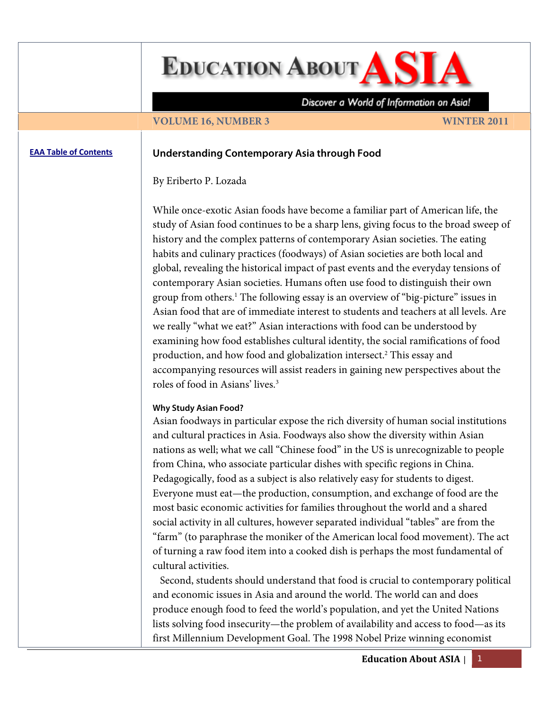**EDUCATION ABOUT AS** 

Discover a World of Information on Asia!

#### **VOLUME 16, NUMBER 3** WINTER 2011

# **EAA Table of [Contents](http://www.asian-studies.org/EAA/TOC/16-3.htm) Understanding Contemporary Asia through Food**

### By Eriberto P. Lozada

While once-exotic Asian foods have become a familiar part of American life, the study of Asian food continues to be a sharp lens, giving focus to the broad sweep of history and the complex patterns of contemporary Asian societies. The eating habits and culinary practices (foodways) of Asian societies are both local and global, revealing the historical impact of past events and the everyday tensions of contemporary Asian societies. Humans often use food to distinguish their own group from others.1 The following essay is an overview of "big-picture" issues in Asian food that are of immediate interest to students and teachers at all levels. Are we really "what we eat?" Asian interactions with food can be understood by examining how food establishes cultural identity, the social ramifications of food production, and how food and globalization intersect.<sup>2</sup> This essay and accompanying resources will assist readers in gaining new perspectives about the roles of food in Asians' lives.3

#### **Why Study Asian Food?**

Asian foodways in particular expose the rich diversity of human social institutions and cultural practices in Asia. Foodways also show the diversity within Asian nations as well; what we call "Chinese food" in the US is unrecognizable to people from China, who associate particular dishes with specific regions in China. Pedagogically, food as a subject is also relatively easy for students to digest. Everyone must eat—the production, consumption, and exchange of food are the most basic economic activities for families throughout the world and a shared social activity in all cultures, however separated individual "tables" are from the "farm" (to paraphrase the moniker of the American local food movement). The act of turning a raw food item into a cooked dish is perhaps the most fundamental of cultural activities.

 Second, students should understand that food is crucial to contemporary political and economic issues in Asia and around the world. The world can and does produce enough food to feed the world's population, and yet the United Nations lists solving food insecurity—the problem of availability and access to food—as its first Millennium Development Goal. The 1998 Nobel Prize winning economist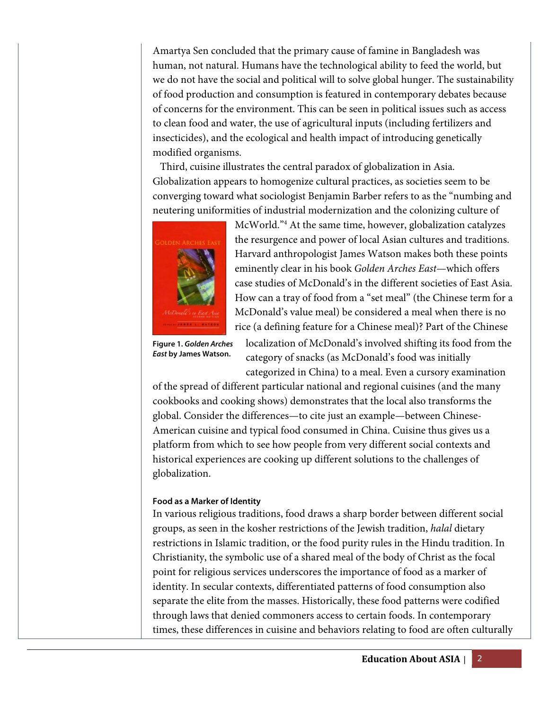Amartya Sen concluded that the primary cause of famine in Bangladesh was human, not natural. Humans have the technological ability to feed the world, but we do not have the social and political will to solve global hunger. The sustainability of food production and consumption is featured in contemporary debates because of concerns for the environment. This can be seen in political issues such as access to clean food and water, the use of agricultural inputs (including fertilizers and insecticides), and the ecological and health impact of introducing genetically modified organisms.

 Third, cuisine illustrates the central paradox of globalization in Asia. Globalization appears to homogenize cultural practices, as societies seem to be converging toward what sociologist Benjamin Barber refers to as the "numbing and neutering uniformities of industrial modernization and the colonizing culture of



McWorld."4 At the same time, however, globalization catalyzes the resurgence and power of local Asian cultures and traditions. Harvard anthropologist James Watson makes both these points eminently clear in his book *Golden Arches East*—which offers case studies of McDonald's in the different societies of East Asia. How can a tray of food from a "set meal" (the Chinese term for a McDonald's value meal) be considered a meal when there is no rice (a defining feature for a Chinese meal)? Part of the Chinese

**Figure 1. Golden Arches East by James Watson.** 

localization of McDonald's involved shifting its food from the category of snacks (as McDonald's food was initially categorized in China) to a meal. Even a cursory examination

of the spread of different particular national and regional cuisines (and the many cookbooks and cooking shows) demonstrates that the local also transforms the global. Consider the differences—to cite just an example—between Chinese-American cuisine and typical food consumed in China. Cuisine thus gives us a platform from which to see how people from very different social contexts and historical experiences are cooking up different solutions to the challenges of globalization.

## **Food as a Marker of Identity**

In various religious traditions, food draws a sharp border between different social groups, as seen in the kosher restrictions of the Jewish tradition, *halal* dietary restrictions in Islamic tradition, or the food purity rules in the Hindu tradition. In Christianity, the symbolic use of a shared meal of the body of Christ as the focal point for religious services underscores the importance of food as a marker of identity. In secular contexts, differentiated patterns of food consumption also separate the elite from the masses. Historically, these food patterns were codified through laws that denied commoners access to certain foods. In contemporary times, these differences in cuisine and behaviors relating to food are often culturally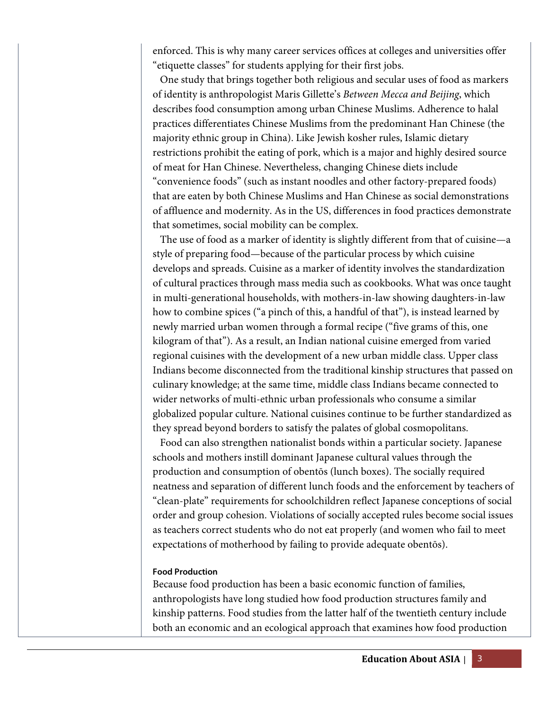enforced. This is why many career services offices at colleges and universities offer "etiquette classes" for students applying for their first jobs.

 One study that brings together both religious and secular uses of food as markers of identity is anthropologist Maris Gillette's *Between Mecca and Beijing*, which describes food consumption among urban Chinese Muslims. Adherence to halal practices differentiates Chinese Muslims from the predominant Han Chinese (the majority ethnic group in China). Like Jewish kosher rules, Islamic dietary restrictions prohibit the eating of pork, which is a major and highly desired source of meat for Han Chinese. Nevertheless, changing Chinese diets include "convenience foods" (such as instant noodles and other factory-prepared foods) that are eaten by both Chinese Muslims and Han Chinese as social demonstrations of affluence and modernity. As in the US, differences in food practices demonstrate that sometimes, social mobility can be complex.

 The use of food as a marker of identity is slightly different from that of cuisine—a style of preparing food—because of the particular process by which cuisine develops and spreads. Cuisine as a marker of identity involves the standardization of cultural practices through mass media such as cookbooks. What was once taught in multi-generational households, with mothers-in-law showing daughters-in-law how to combine spices ("a pinch of this, a handful of that"), is instead learned by newly married urban women through a formal recipe ("five grams of this, one kilogram of that"). As a result, an Indian national cuisine emerged from varied regional cuisines with the development of a new urban middle class. Upper class Indians become disconnected from the traditional kinship structures that passed on culinary knowledge; at the same time, middle class Indians became connected to wider networks of multi-ethnic urban professionals who consume a similar globalized popular culture. National cuisines continue to be further standardized as they spread beyond borders to satisfy the palates of global cosmopolitans.

 Food can also strengthen nationalist bonds within a particular society. Japanese schools and mothers instill dominant Japanese cultural values through the production and consumption of obentōs (lunch boxes). The socially required neatness and separation of different lunch foods and the enforcement by teachers of "clean-plate" requirements for schoolchildren reflect Japanese conceptions of social order and group cohesion. Violations of socially accepted rules become social issues as teachers correct students who do not eat properly (and women who fail to meet expectations of motherhood by failing to provide adequate obentōs).

### **Food Production**

Because food production has been a basic economic function of families, anthropologists have long studied how food production structures family and kinship patterns. Food studies from the latter half of the twentieth century include both an economic and an ecological approach that examines how food production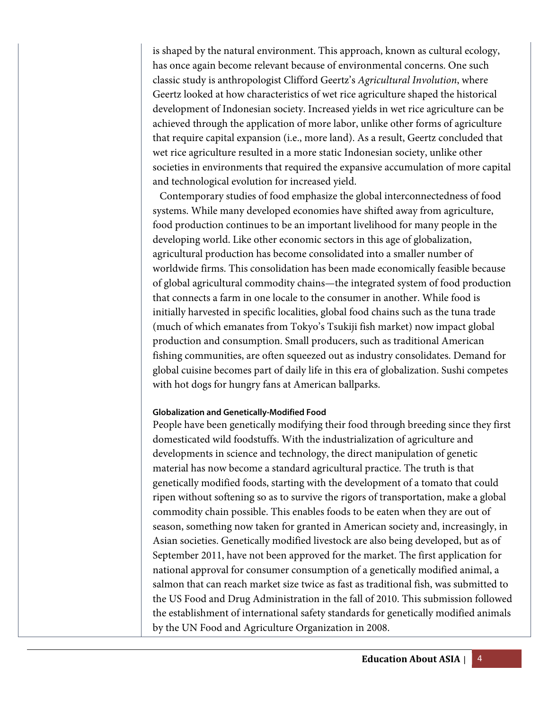is shaped by the natural environment. This approach, known as cultural ecology, has once again become relevant because of environmental concerns. One such classic study is anthropologist Clifford Geertz's *Agricultural Involution*, where Geertz looked at how characteristics of wet rice agriculture shaped the historical development of Indonesian society. Increased yields in wet rice agriculture can be achieved through the application of more labor, unlike other forms of agriculture that require capital expansion (i.e., more land). As a result, Geertz concluded that wet rice agriculture resulted in a more static Indonesian society, unlike other societies in environments that required the expansive accumulation of more capital and technological evolution for increased yield.

Contemporary studies of food emphasize the global interconnectedness of food systems. While many developed economies have shifted away from agriculture, food production continues to be an important livelihood for many people in the developing world. Like other economic sectors in this age of globalization, agricultural production has become consolidated into a smaller number of worldwide firms. This consolidation has been made economically feasible because of global agricultural commodity chains—the integrated system of food production that connects a farm in one locale to the consumer in another. While food is initially harvested in specific localities, global food chains such as the tuna trade (much of which emanates from Tokyo's Tsukiji fish market) now impact global production and consumption. Small producers, such as traditional American fishing communities, are often squeezed out as industry consolidates. Demand for global cuisine becomes part of daily life in this era of globalization. Sushi competes with hot dogs for hungry fans at American ballparks.

## **Globalization and Genetically-Modified Food**

People have been genetically modifying their food through breeding since they first domesticated wild foodstuffs. With the industrialization of agriculture and developments in science and technology, the direct manipulation of genetic material has now become a standard agricultural practice. The truth is that genetically modified foods, starting with the development of a tomato that could ripen without softening so as to survive the rigors of transportation, make a global commodity chain possible. This enables foods to be eaten when they are out of season, something now taken for granted in American society and, increasingly, in Asian societies. Genetically modified livestock are also being developed, but as of September 2011, have not been approved for the market. The first application for national approval for consumer consumption of a genetically modified animal, a salmon that can reach market size twice as fast as traditional fish, was submitted to the US Food and Drug Administration in the fall of 2010. This submission followed the establishment of international safety standards for genetically modified animals by the UN Food and Agriculture Organization in 2008.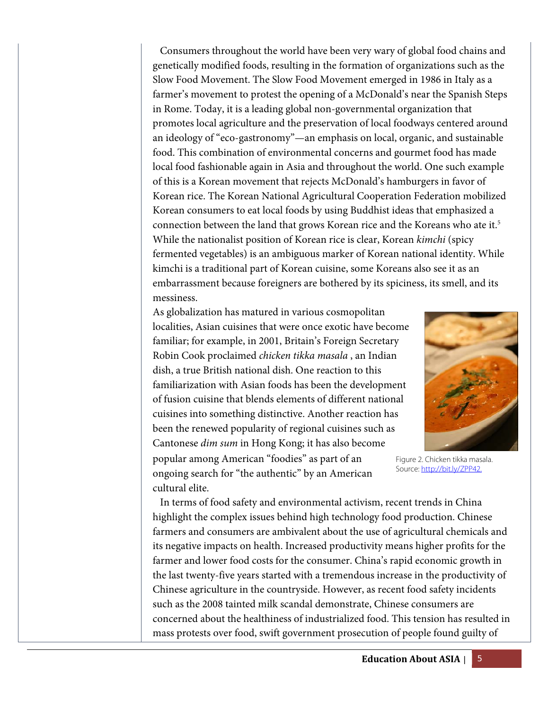Consumers throughout the world have been very wary of global food chains and genetically modified foods, resulting in the formation of organizations such as the Slow Food Movement. The Slow Food Movement emerged in 1986 in Italy as a farmer's movement to protest the opening of a McDonald's near the Spanish Steps in Rome. Today, it is a leading global non-governmental organization that promotes local agriculture and the preservation of local foodways centered around an ideology of "eco-gastronomy"—an emphasis on local, organic, and sustainable food. This combination of environmental concerns and gourmet food has made local food fashionable again in Asia and throughout the world. One such example of this is a Korean movement that rejects McDonald's hamburgers in favor of Korean rice. The Korean National Agricultural Cooperation Federation mobilized Korean consumers to eat local foods by using Buddhist ideas that emphasized a connection between the land that grows Korean rice and the Koreans who ate it.<sup>5</sup> While the nationalist position of Korean rice is clear, Korean *kimchi* (spicy fermented vegetables) is an ambiguous marker of Korean national identity. While kimchi is a traditional part of Korean cuisine, some Koreans also see it as an embarrassment because foreigners are bothered by its spiciness, its smell, and its messiness.

As globalization has matured in various cosmopolitan localities, Asian cuisines that were once exotic have become familiar; for example, in 2001, Britain's Foreign Secretary Robin Cook proclaimed *chicken tikka masala* , an Indian dish, a true British national dish. One reaction to this familiarization with Asian foods has been the development of fusion cuisine that blends elements of different national cuisines into something distinctive. Another reaction has been the renewed popularity of regional cuisines such as Cantonese *dim sum* in Hong Kong; it has also become popular among American "foodies" as part of an ongoing search for "the authentic" by an American cultural elite.



Figure 2. Chicken tikka masala. Source: http://bit.ly/ZPP42.

 In terms of food safety and environmental activism, recent trends in China highlight the complex issues behind high technology food production. Chinese farmers and consumers are ambivalent about the use of agricultural chemicals and its negative impacts on health. Increased productivity means higher profits for the farmer and lower food costs for the consumer. China's rapid economic growth in the last twenty-five years started with a tremendous increase in the productivity of Chinese agriculture in the countryside. However, as recent food safety incidents such as the 2008 tainted milk scandal demonstrate, Chinese consumers are concerned about the healthiness of industrialized food. This tension has resulted in mass protests over food, swift government prosecution of people found guilty of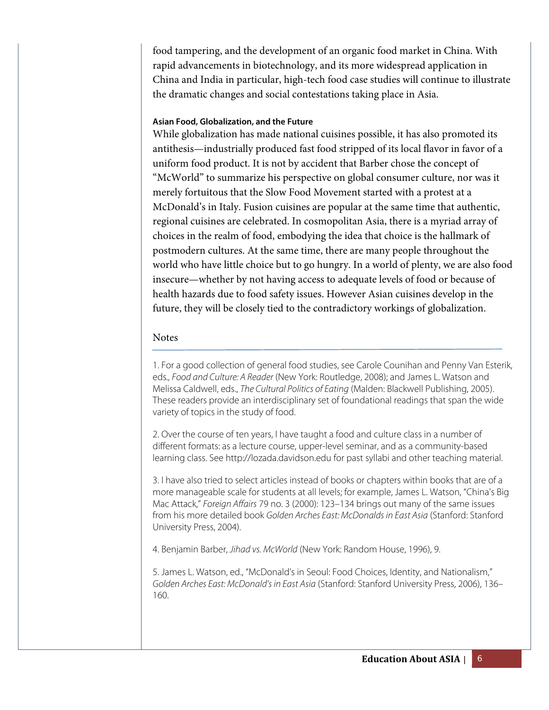food tampering, and the development of an organic food market in China. With rapid advancements in biotechnology, and its more widespread application in China and India in particular, high-tech food case studies will continue to illustrate the dramatic changes and social contestations taking place in Asia.

### **Asian Food, Globalization, and the Future**

While globalization has made national cuisines possible, it has also promoted its antithesis—industrially produced fast food stripped of its local flavor in favor of a uniform food product. It is not by accident that Barber chose the concept of "McWorld" to summarize his perspective on global consumer culture, nor was it merely fortuitous that the Slow Food Movement started with a protest at a McDonald's in Italy. Fusion cuisines are popular at the same time that authentic, regional cuisines are celebrated. In cosmopolitan Asia, there is a myriad array of choices in the realm of food, embodying the idea that choice is the hallmark of postmodern cultures. At the same time, there are many people throughout the world who have little choice but to go hungry. In a world of plenty, we are also food insecure—whether by not having access to adequate levels of food or because of health hazards due to food safety issues. However Asian cuisines develop in the future, they will be closely tied to the contradictory workings of globalization.

## Notes

1. For a good collection of general food studies, see Carole Counihan and Penny Van Esterik, eds., Food and Culture: A Reader (New York: Routledge, 2008); and James L. Watson and Melissa Caldwell, eds., The Cultural Politics of Eating (Malden: Blackwell Publishing, 2005). These readers provide an interdisciplinary set of foundational readings that span the wide variety of topics in the study of food.

2. Over the course of ten years, I have taught a food and culture class in a number of different formats: as a lecture course, upper-level seminar, and as a community-based learning class. See http://lozada.davidson.edu for past syllabi and other teaching material.

3. I have also tried to select articles instead of books or chapters within books that are of a more manageable scale for students at all levels; for example, James L. Watson, "China's Big Mac Attack," Foreign Affairs 79 no. 3 (2000): 123–134 brings out many of the same issues from his more detailed book Golden Arches East: McDonalds in East Asia (Stanford: Stanford University Press, 2004).

4. Benjamin Barber, Jihad vs. McWorld (New York: Random House, 1996), 9.

5. James L. Watson, ed., "McDonald's in Seoul: Food Choices, Identity, and Nationalism," Golden Arches East: McDonald's in East Asia (Stanford: Stanford University Press, 2006), 136– 160.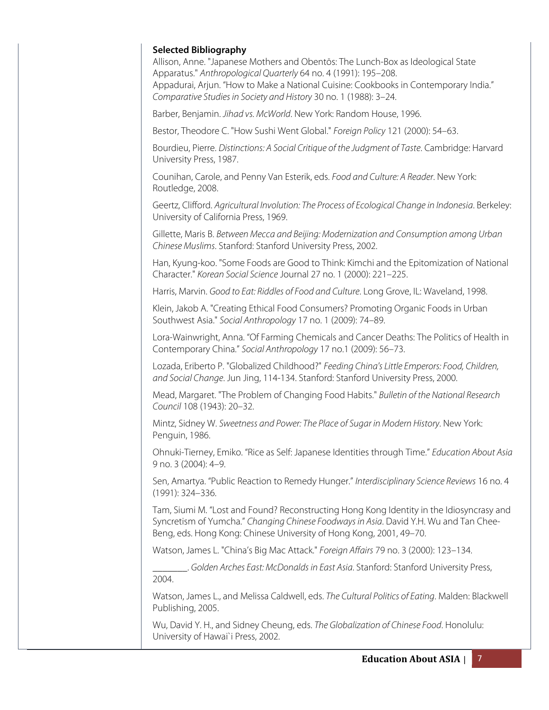| <b>Selected Bibliography</b> | Allison, Anne. "Japanese Mothers and Obentōs: The Lunch-Box as Ideological State<br>Apparatus." Anthropological Quarterly 64 no. 4 (1991): 195-208.<br>Appadurai, Arjun. "How to Make a National Cuisine: Cookbooks in Contemporary India."<br>Comparative Studies in Society and History 30 no. 1 (1988): 3-24. |  |
|------------------------------|------------------------------------------------------------------------------------------------------------------------------------------------------------------------------------------------------------------------------------------------------------------------------------------------------------------|--|
|                              | Barber, Benjamin. Jihad vs. McWorld. New York: Random House, 1996.                                                                                                                                                                                                                                               |  |
|                              | Bestor, Theodore C. "How Sushi Went Global." Foreign Policy 121 (2000): 54-63.                                                                                                                                                                                                                                   |  |
| University Press, 1987.      | Bourdieu, Pierre. Distinctions: A Social Critique of the Judgment of Taste. Cambridge: Harvard                                                                                                                                                                                                                   |  |
| Routledge, 2008.             | Counihan, Carole, and Penny Van Esterik, eds. Food and Culture: A Reader. New York:                                                                                                                                                                                                                              |  |
|                              | Geertz, Clifford. Agricultural Involution: The Process of Ecological Change in Indonesia. Berkeley:<br>University of California Press, 1969.                                                                                                                                                                     |  |
|                              | Gillette, Maris B. Between Mecca and Beijing: Modernization and Consumption among Urban<br>Chinese Muslims. Stanford: Stanford University Press, 2002.                                                                                                                                                           |  |
|                              | Han, Kyung-koo. "Some Foods are Good to Think: Kimchi and the Epitomization of National<br>Character." Korean Social Science Journal 27 no. 1 (2000): 221-225.                                                                                                                                                   |  |
|                              | Harris, Marvin. Good to Eat: Riddles of Food and Culture. Long Grove, IL: Waveland, 1998.                                                                                                                                                                                                                        |  |
|                              | Klein, Jakob A. "Creating Ethical Food Consumers? Promoting Organic Foods in Urban<br>Southwest Asia." Social Anthropology 17 no. 1 (2009): 74-89.                                                                                                                                                               |  |
|                              | Lora-Wainwright, Anna. "Of Farming Chemicals and Cancer Deaths: The Politics of Health in<br>Contemporary China." Social Anthropology 17 no.1 (2009): 56-73.                                                                                                                                                     |  |
|                              | Lozada, Eriberto P. "Globalized Childhood?" Feeding China's Little Emperors: Food, Children,<br>and Social Change. Jun Jing, 114-134. Stanford: Stanford University Press, 2000.                                                                                                                                 |  |
| Council 108 (1943): 20-32.   | Mead, Margaret. "The Problem of Changing Food Habits." Bulletin of the National Research                                                                                                                                                                                                                         |  |
| Penguin, 1986.               | Mintz, Sidney W. Sweetness and Power: The Place of Sugar in Modern History. New York:                                                                                                                                                                                                                            |  |
| 9 no. 3 (2004): 4-9.         | Ohnuki-Tierney, Emiko. "Rice as Self: Japanese Identities through Time." Education About Asia                                                                                                                                                                                                                    |  |
| (1991): 324-336.             | Sen, Amartya. "Public Reaction to Remedy Hunger." Interdisciplinary Science Reviews 16 no. 4                                                                                                                                                                                                                     |  |
|                              | Tam, Siumi M. "Lost and Found? Reconstructing Hong Kong Identity in the Idiosyncrasy and<br>Syncretism of Yumcha." Changing Chinese Foodways in Asia. David Y.H. Wu and Tan Chee-<br>Beng, eds. Hong Kong: Chinese University of Hong Kong, 2001, 49-70.                                                         |  |
|                              | Watson, James L. "China's Big Mac Attack." Foreign Affairs 79 no. 3 (2000): 123-134.                                                                                                                                                                                                                             |  |
| 2004.                        | Golden Arches East: McDonalds in East Asia. Stanford: Stanford University Press,                                                                                                                                                                                                                                 |  |
| Publishing, 2005.            | Watson, James L., and Melissa Caldwell, eds. The Cultural Politics of Eating. Malden: Blackwell                                                                                                                                                                                                                  |  |
|                              | Wu, David Y. H., and Sidney Cheung, eds. The Globalization of Chinese Food. Honolulu:<br>University of Hawai'i Press, 2002.                                                                                                                                                                                      |  |